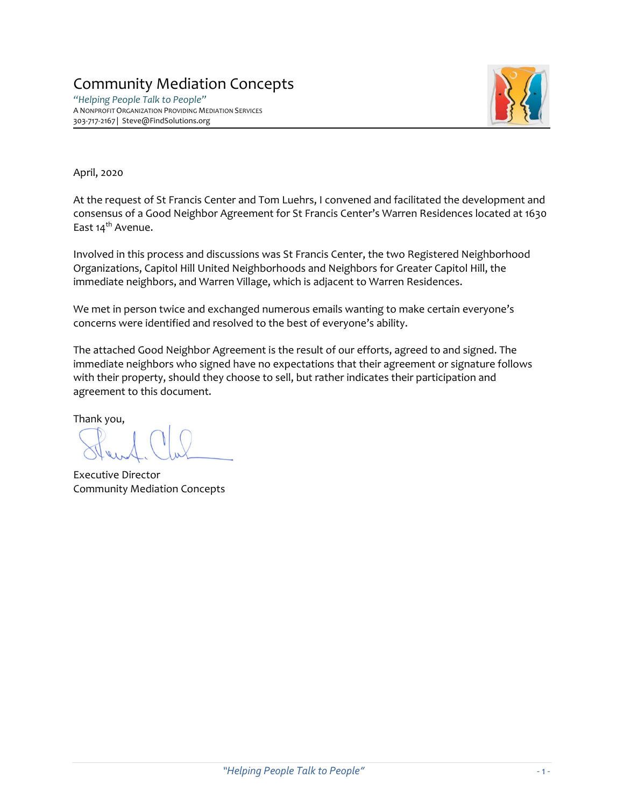# Community Mediation Concepts

*"Helping People Talk to People"* A NONPROFIT ORGANIZATION PROVIDING MEDIATION SERVICES 303-717-2167 | Steve@FindSolutions.org



April, 2020

At the request of St Francis Center and Tom Luehrs, I convened and facilitated the development and consensus of a Good Neighbor Agreement for St Francis Center's Warren Residences located at 1630 East 14<sup>th</sup> Avenue.

Involved in this process and discussions was St Francis Center, the two Registered Neighborhood Organizations, Capitol Hill United Neighborhoods and Neighbors for Greater Capitol Hill, the immediate neighbors, and Warren Village, which is adjacent to Warren Residences.

We met in person twice and exchanged numerous emails wanting to make certain everyone's concerns were identified and resolved to the best of everyone's ability.

The attached Good Neighbor Agreement is the result of our efforts, agreed to and signed. The immediate neighbors who signed have no expectations that their agreement or signature follows with their property, should they choose to sell, but rather indicates their participation and agreement to this document.

Thank you,

Executive Director Community Mediation Concepts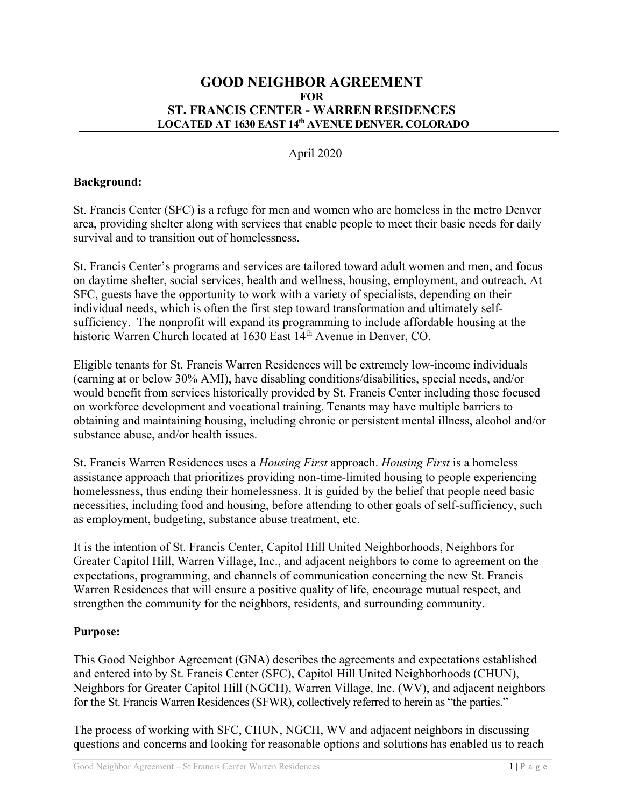#### **GOOD NEIGHBOR AGREEMENT FOR ST. FRANCIS CENTER - WARREN RESIDENCES LOCATED AT 1630 EAST 14th AVENUE DENVER, COLORADO**

#### April 2020

#### **Background:**

St. Francis Center (SFC) is a refuge for men and women who are homeless in the metro Denver area, providing shelter along with services that enable people to meet their basic needs for daily survival and to transition out of homelessness.

St. Francis Center's programs and services are tailored toward adult women and men, and focus on daytime shelter, social services, health and wellness, housing, employment, and outreach. At SFC, guests have the opportunity to work with a variety of specialists, depending on their individual needs, which is often the first step toward transformation and ultimately selfsufficiency. The nonprofit will expand its programming to include affordable housing at the historic Warren Church located at 1630 East 14<sup>th</sup> Avenue in Denver, CO.

Eligible tenants for St. Francis Warren Residences will be extremely low-income individuals (earning at or below 30% AMI), have disabling conditions/disabilities, special needs, and/or would benefit from services historically provided by St. Francis Center including those focused on workforce development and vocational training. Tenants may have multiple barriers to obtaining and maintaining housing, including chronic or persistent mental illness, alcohol and/or substance abuse, and/or health issues.

St. Francis Warren Residences uses a *Housing First* approach. *Housing First* is a homeless assistance approach that prioritizes providing non-time-limited housing to people experiencing homelessness, thus ending their homelessness. It is guided by the belief that people need basic necessities, including food and housing, before attending to other goals of self-sufficiency, such as employment, budgeting, substance abuse treatment, etc.

It is the intention of St. Francis Center, Capitol Hill United Neighborhoods, Neighbors for Greater Capitol Hill, Warren Village, Inc., and adjacent neighbors to come to agreement on the expectations, programming, and channels of communication concerning the new St. Francis Warren Residences that will ensure a positive quality of life, encourage mutual respect, and strengthen the community for the neighbors, residents, and surrounding community.

#### **Purpose:**

This Good Neighbor Agreement (GNA) describes the agreements and expectations established and entered into by St. Francis Center (SFC), Capitol Hill United Neighborhoods (CHUN), Neighbors for Greater Capitol Hill (NGCH), Warren Village, Inc. (WV), and adjacent neighbors for the St. Francis Warren Residences (SFWR), collectively referred to herein as "the parties."

The process of working with SFC, CHUN, NGCH, WV and adjacent neighbors in discussing questions and concerns and looking for reasonable options and solutions has enabled us to reach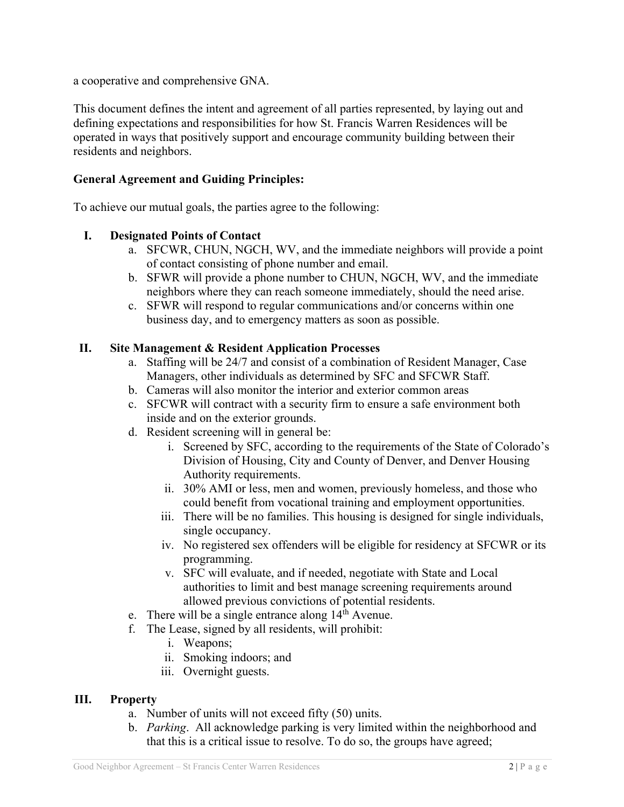a cooperative and comprehensive GNA.

This document defines the intent and agreement of all parties represented, by laying out and defining expectations and responsibilities for how St. Francis Warren Residences will be operated in ways that positively support and encourage community building between their residents and neighbors.

## **General Agreement and Guiding Principles:**

To achieve our mutual goals, the parties agree to the following:

### **I. Designated Points of Contact**

- a. SFCWR, CHUN, NGCH, WV, and the immediate neighbors will provide a point of contact consisting of phone number and email.
- b. SFWR will provide a phone number to CHUN, NGCH, WV, and the immediate neighbors where they can reach someone immediately, should the need arise.
- c. SFWR will respond to regular communications and/or concerns within one business day, and to emergency matters as soon as possible.

## **II. Site Management & Resident Application Processes**

- a. Staffing will be 24/7 and consist of a combination of Resident Manager, Case Managers, other individuals as determined by SFC and SFCWR Staff.
- b. Cameras will also monitor the interior and exterior common areas
- c. SFCWR will contract with a security firm to ensure a safe environment both inside and on the exterior grounds.
- d. Resident screening will in general be:
	- i. Screened by SFC, according to the requirements of the State of Colorado's Division of Housing, City and County of Denver, and Denver Housing Authority requirements.
	- ii. 30% AMI or less, men and women, previously homeless, and those who could benefit from vocational training and employment opportunities.
	- iii. There will be no families. This housing is designed for single individuals, single occupancy.
	- iv. No registered sex offenders will be eligible for residency at SFCWR or its programming.
	- v. SFC will evaluate, and if needed, negotiate with State and Local authorities to limit and best manage screening requirements around allowed previous convictions of potential residents.
- e. There will be a single entrance along  $14<sup>th</sup>$  Avenue.
- f. The Lease, signed by all residents, will prohibit:
	- i. Weapons;
	- ii. Smoking indoors; and
	- iii. Overnight guests.

# **III. Property**

- a. Number of units will not exceed fifty (50) units.
- b. *Parking*. All acknowledge parking is very limited within the neighborhood and that this is a critical issue to resolve. To do so, the groups have agreed;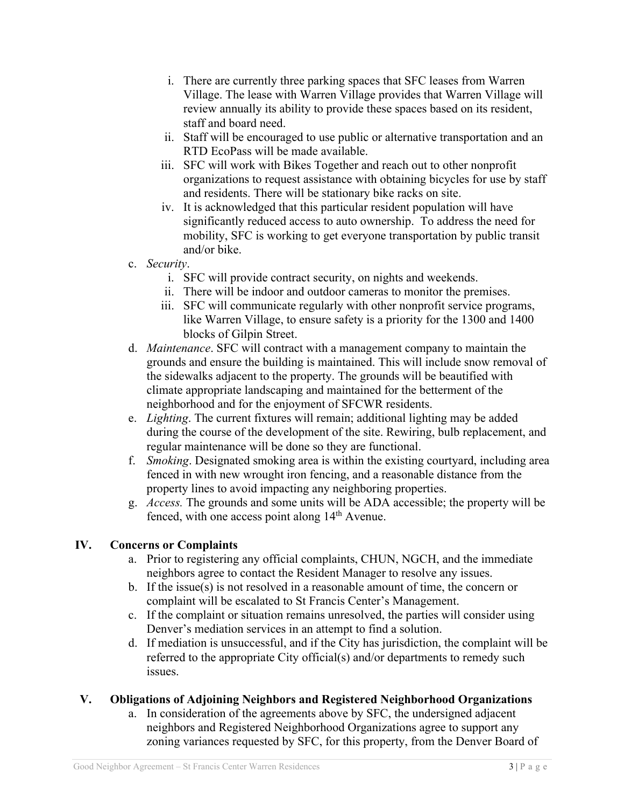- i. There are currently three parking spaces that SFC leases from Warren Village. The lease with Warren Village provides that Warren Village will review annually its ability to provide these spaces based on its resident, staff and board need.
- ii. Staff will be encouraged to use public or alternative transportation and an RTD EcoPass will be made available.
- iii. SFC will work with Bikes Together and reach out to other nonprofit organizations to request assistance with obtaining bicycles for use by staff and residents. There will be stationary bike racks on site.
- iv. It is acknowledged that this particular resident population will have significantly reduced access to auto ownership. To address the need for mobility, SFC is working to get everyone transportation by public transit and/or bike.
- c. *Security*.
	- i. SFC will provide contract security, on nights and weekends.
	- ii. There will be indoor and outdoor cameras to monitor the premises.
	- iii. SFC will communicate regularly with other nonprofit service programs, like Warren Village, to ensure safety is a priority for the 1300 and 1400 blocks of Gilpin Street.
- d. *Maintenance*. SFC will contract with a management company to maintain the grounds and ensure the building is maintained. This will include snow removal of the sidewalks adjacent to the property. The grounds will be beautified with climate appropriate landscaping and maintained for the betterment of the neighborhood and for the enjoyment of SFCWR residents.
- e. *Lighting*. The current fixtures will remain; additional lighting may be added during the course of the development of the site. Rewiring, bulb replacement, and regular maintenance will be done so they are functional.
- f. *Smoking*. Designated smoking area is within the existing courtyard, including area fenced in with new wrought iron fencing, and a reasonable distance from the property lines to avoid impacting any neighboring properties.
- g. *Access.* The grounds and some units will be ADA accessible; the property will be fenced, with one access point along  $14<sup>th</sup>$  Avenue.

# **IV. Concerns or Complaints**

- a. Prior to registering any official complaints, CHUN, NGCH, and the immediate neighbors agree to contact the Resident Manager to resolve any issues.
- b. If the issue(s) is not resolved in a reasonable amount of time, the concern or complaint will be escalated to St Francis Center's Management.
- c. If the complaint or situation remains unresolved, the parties will consider using Denver's mediation services in an attempt to find a solution.
- d. If mediation is unsuccessful, and if the City has jurisdiction, the complaint will be referred to the appropriate City official(s) and/or departments to remedy such issues.

# **V. Obligations of Adjoining Neighbors and Registered Neighborhood Organizations**

a. In consideration of the agreements above by SFC, the undersigned adjacent neighbors and Registered Neighborhood Organizations agree to support any zoning variances requested by SFC, for this property, from the Denver Board of